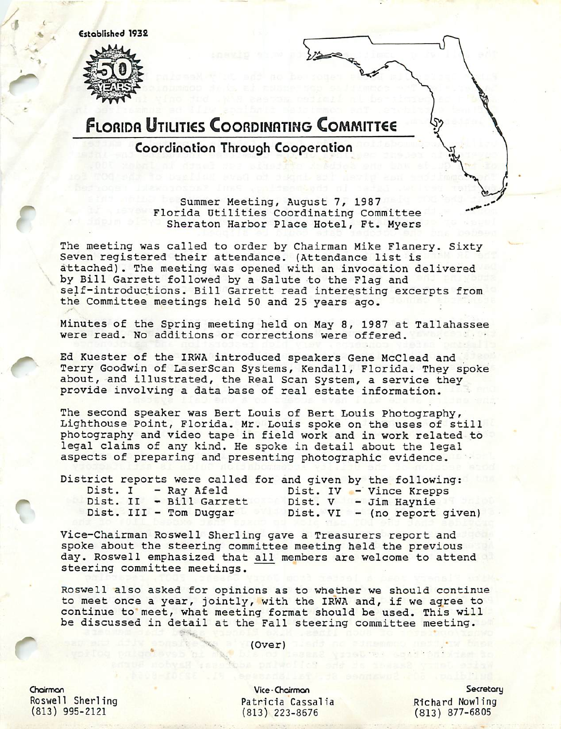Cstoblished 1932



r

## **FLORIDA UTILITIES COORDINATING COMMITTEE**

Coordination Through Cooperation

Summer Meeting, August 7, 1987 Florida Utilities Coordinating Committee Sheraton Harbor Place Hotel, Ft. Myers

The meeting was called to order by Chairman Mike Flanery. Sixty Seven registered their attendance. (Attendance list is attached). The meeting was opened with an invocation delivered by Bill Garrett followed by a Salute to the Flag and self-introductions. Bill Garrett read interesting excerpts from the Committee meetings held 50 and 25 years ago.

Minutes of the Spring meeting held on May 8, 1987 at Tallahassee were read. No additions or corrections were offered.

Ed Kuester of the IRWA introduced speakers Gene McClead and Terry Goodwin of LaserScan Systems, Kendall, Florida. They spoke about, and illustrated, the Real Scan System, a service they provide involving a data base of real estate information.

The second speaker was Bert Louis of Bert Louis Photography, Lighthouse Point, Florida. Mr. Louis spoke on the uses of still photography and video tape in field work and in work related to legal claims of any kind. He spoke in detail about the legal aspects of preparing and presenting photographic evidence.

| District reports were called for and given by the following: |  |                        |                         |  |  |                              |  |
|--------------------------------------------------------------|--|------------------------|-------------------------|--|--|------------------------------|--|
|                                                              |  |                        | Dist. I - Ray Afeld     |  |  | Dist. IV - Vince Krepps      |  |
|                                                              |  |                        | Dist. II - Bill Garrett |  |  | Dist. V - Jim Haynie         |  |
|                                                              |  | Dist. III - Tom Duggar |                         |  |  | Dist. VI - (no report given) |  |

Vice-chairman Roswell Sherling gave a Treasurers report and spoke about the steering committee meeting held the previous day. Roswell emphasized that all members are welcome to attend steering committee meetings.

Roswell also asked for opinions as to whether we should continue to meet once a year, jointly, with the IRWA and, if we agree to continue to' meet, what meeting format should be used. This will be discussed in detail at the Fall steering committee meeting.

(Over)

Chairman Roswell Sherling (813) 995-2121

r

Vice-Chairman Patricia Cassalia (813) 223-8676

**Secretory** Richard Nowling (813) 877-6805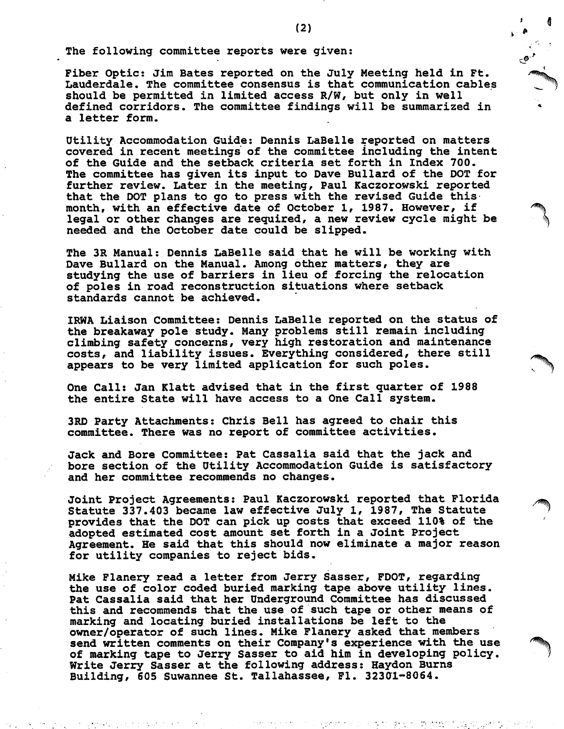The following committee reports were given:

Fiber Optic: Jim Bates reported on the July Meeting held in Ft. Lauderdale. The committee consensus is that communication cables should be permitted in limited access  $R/W$ , but only in well defined corridors. The committee findings will be summarized in a letter form.

Utility Accommodation Guide: Dennis LaBelle reported on matters covered in recent meetings of the committee including the intent of the Guide and the setback criteria set forth in Index 700. The committee has given its input to Dave Builard of the DOT for further review. Later in the meeting, Paul Kaczorowski reported that the DOT plans to go to press with the revised Guide this month, with an effective date of October 1, 1987. However, if legal or other changes are required, a new review cycle might be needed and the October date could be slipped.

The 3R Manual: Dennis LaBelle said that he will be working with Dave Bullard on the Manual. Among other matters, they are studying the use of barriers in lieu of forcing the relocation of poles in road reconstruction situations where setback standards cannot be achieved.

IRWA Liaison Committee: Dennis LaBelle reported on the status of the breakaway pole study. Many problems still remain including climbing safety concerns, very high restoration and maintenance costs, and liability issues. Everything considered, there still appears to be very limited application for such poles.

One Call: Jan Klatt advised that in the first quarter of 1988 the entire State will have access to a One Call system.

3RD Party Attachments: Chris Bell has agreed to chair this committee. There was no report of committee activities.

Jack and Bore Committee: Pat Cassalia said that the jack and bore section of the Utility Accommodation Guide is satisfactory and her committee recommends no changes.

Joint Project Agreements: Paul Kaczorowski reported that Florida Statute 337.403 became law effective July 1, 1987, The Statute provides that the DOT can pick up costs that exceed 110% of the ' adopted estimated cost amount set forth in a Joint Project Agreement. He said that this should now eliminate a major reason for utility companies to reject bids.

Mike Flanery read a letter from Jerry Sasser, FDOT, regarding the use of color coded buried marking tape above utility lines. Pat Cassalia said that her Underground Committee has discussed this and recommends that the use of such tape or other means of marking and locating buried installations be left to the owner/operator of such lines. Mike Flanery asked that members send written comments on their Company's experience with the use of marking tape to Jerry Sasser to aid him in developing policy. I Write Jerry Sasser at the following address: Haydon Burns Building, 605 Suwannee St. Tallahassee, Fl. 32301-8064.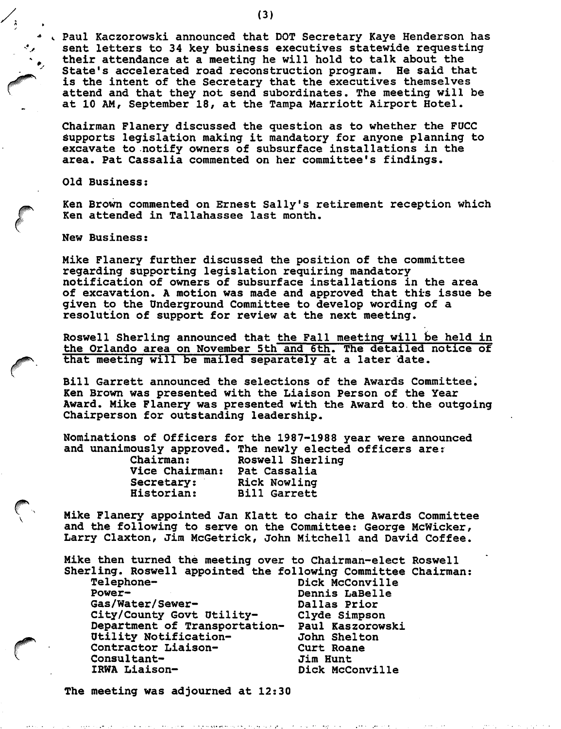Paul Kaczorowski announced that DOT Secretary Kaye Henderson has sent letters to 34 key business executives statewide requesting their attendance at a meeting he will hold to talk about the State's accelerated road reconstruction program. He said that is the intent of the Secretary that the executives themselves attend and that they not send subordinates. The meeting will be at 10 AM, September 18, at the Tampa Marriott Airport Hotel.

Chairman Flanery discussed the question as to whether the FUCC supports legislation making it mandatory for anyone planning to excavate to notify owners of subsurface installations in the area. Pat Cassalia commented on her committee's findings.

Old Business:

Ken Brown commented on Ernest Sally's retirement reception which Ken attended in Tallahassee last month.

New Business:

Mike Flanery further discussed the position of the committee regarding supporting legislation requiring mandatory notification of owners of subsurface installations in the area of excavation. A motion was made and approved that this issue be given to the Underground Committee to develop wording of a resolution of support for review at the next meeting.

Roswell Sherling announced that the Fall meeting will be held in the Orlando area on November 5th and 6th. The detailed notice of that meeting will be mailed separately at a later date.

Bill Garrett announced the selections of the Awards Committee. Ken Brown was presented with the Liaison Person of the Year Award. Mike Flanery was presented with the Award to. the outgoing Chairperson for outstanding leadership.

Nominations of Officers for the 1987-1988 year were announced and unanimously approved. The newly elected officers are:

| Chairman:      | Roswell Sherling    |
|----------------|---------------------|
| Vice Chairman: | Pat Cassalia        |
| Secretary:     | Rick Nowling        |
| Historian:     | <b>Bill Garrett</b> |

Mike Flanery appointed Jan Klatt to chair the Awards Committee and the following to serve on the Committee: George McWicker, Larry Claxton, Jim McGetrick, John Mitchell and David Coffee.

Mike then turned the meeting over to Chairman-elect Roswell Sherling. Roswell appointed the following Committee Chairman:

| Telephone-                                     | Dick McConville |
|------------------------------------------------|-----------------|
| Power-                                         | Dennis LaBelle  |
| Gas/Water/Sewer-                               | Dallas Prior    |
| City/County Govt Utility-                      | Clyde Simpson   |
| Department of Transportation- Paul Kaszorowski |                 |
| Utility Notification-                          | John Shelton    |
| Contractor Liaison-                            | Curt Roane      |
| Consultant-                                    | Jim Hunt        |
| IRWA Liaison-                                  | Dick McConville |
|                                                |                 |

The meeting was adjourned at 12:30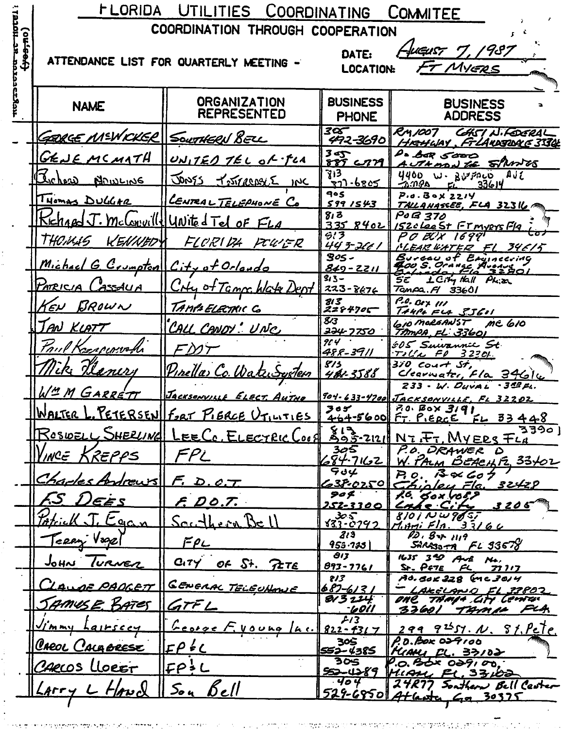FLORIDA UTILITIES COORDINATING COMMITEE COORDINATION THROUGH COOPERATION (ou-eost Jugust 7, 1987 DATE: ATTENDANCE LIST FOR QUARTERLY MEETING -FT MYERS **LOCATION:** ונטלבטנפו **ORGANIZATION BUSINESS BUSINESS NAME REPRESENTED ADDRESS PHONE** रव्ह CHSI N.FOGRAL RM1007 GERGE MEWICKER SOUTHERN BELL 492-3690 HRHUAY FILANDSDAG 3330L  $3 - 5$ De bar 5000 GENEMCMATH UNITED TEL OF FLA AUTHORN TE SPANNES 885 C 713 4400 W. BUTFACO, AVE Ischore **JONSS NOWLING** TIMARRIE 33614  $10C$ ัราา -6ธ05  $-0.088$ **905**  $P.0.80x$   $221y$ CENTRAL TELEPHONE CO Thomas DulchR  $5991543$ TALLANASSEE, FLA 32316 PO B 370  $8, 3$ United Tel of FLA mclonuill <u> ISZOLOOST FTMYEYSF1A</u> 335 8402  $6.7$ PO BOX 16991 THOMAS KENNED FLORIDA FCU'ER NEAR WATER FL 34615<br>Bureau of Engineering<br>Boycau of Engineering<br>Balvado, 156 32801 443-2661  $905 -$ Michael G. Crumpton City of Orlando  $849 - 2211$  $313 -$ CHy of Tamps Wate Dept  $L$   $A$   $S$   $A$  $U$  $A$ PATPICIA 223-8676  $T$ anpa.  $H$  33601 -<br>2284705<br>2284705 P.O. Bex 111 KEN BROWN TAMPAELECTRIC Co  $TANI + E4 S561$ 610 MORGANST  $\overline{\mathbf{g}_{\prime 3}}$ me 610 CALL CANDY ! UNC AN KLATT <del>224-7750</del> TAMPA FL 33601  $914$ 605 Suivannie St Paul Karrenwoll FMT 488-3911 Tick Transformation<br>370 Court St,<br>Clearwater, Fla. 346 lu 813  $\eta'$ Pın<u>ellas Co. Wa</u> eniri ı«Tem 481-3588 233 - W. DUVAL .349 FL. LIM GARRETT Jacksonville 904-633-4700 JACKSONVILLE, FL 32202  $70.60 \times 3191$  $305$ WALTER 1 PETERSEN FORT PIERCE UTILITIES FT. PIERCE 464-5600  $F - 33448$ 813-2121  $3390$ EE CC. ELECTRIC LOC ROSIDELL SHERLING  $N$ *z* $F$ <sup>7</sup>. My ERS  $F$ *LA* P.O. DRAWER D<br>W. PALM BEACHTZ, 33+02 305  $FPL$ INCE . Krepps ダチ・フルコ 904  $38600$  $P_{0}$ Charles Andrews  $F. D. C.T.$  $239.0250$ Chipley Fla. 32429<br>16. Gox 1059<br><u>Cahe City</u> 3205  $904$ 5.S EE S  $F.$   $DO.7.$ 152<u>-3300</u> T Eggs  $8101$  N W  $965$  $33 - 0792$ <u>Sauthern Bell</u>  $1.87155166$  $12.87$  1119  $213$ Ferry Vogel  $F$  $\rho$  $SARSS-2$   $FLS3678$  $953.733$  $\partial$  $1635$   $39$   $44$ <br>Sr.  $P67E$   $PC$ JOHN TURNER CITY OF St. PETE **NA**  $893 - 7761$ - 77 7 1 7  $813$ Ad. BOK 228 (MC 3014 GENERAL TELEUNANE <u>AE PADGETT</u> <u>687-613</u> <u>- LAKELAND EL 33802</u><br>OAC TAMP4 CITY CEMEN  $813211$ SAMUSE BATES GTFL 33601 TAMIL FLA <u>-6011</u>  $213$ <u>Ceorge F. Voung</u> 299 9<sup>25</sup>57. N. 81, Pete. IMMY  $822 - 431$  $115004$  $A$ D. Box 024100 305 Creoi Cainorest  $LP$   $\leq$   $C$ KIAMI FL. 33102 552-4385  $\overline{305}$ P.O. BOX 029100.  $EP<sup>1</sup>$ L CARLOS Lloe<del>er</del> 552-4289 MIAM FL. 33,00 ः प० प 24R77 Southern Bell Center  ${\mathcal E}$ ell 5o u  $\mathcal{L}$  $Arr$ 529-68501 Atlanta, Ga 30325

geboort.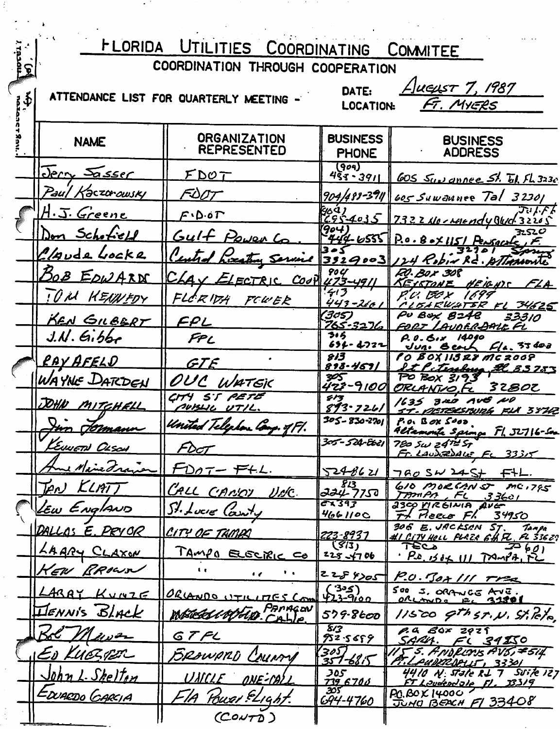| <b>FLORIDA</b><br>UTILITIES COORDINATING<br><b>COMMITEE</b> |                                  |                                                  |                                               |                                                                             |  |  |  |
|-------------------------------------------------------------|----------------------------------|--------------------------------------------------|-----------------------------------------------|-----------------------------------------------------------------------------|--|--|--|
| ୂ                                                           | COORDINATION THROUGH COOPERATION |                                                  |                                               |                                                                             |  |  |  |
| $\mathbf{\Phi}$                                             |                                  | ATTENDANCE LIST FOR QUARTERLY MEETING -          | -Jueust 7, 1987<br>DATE:                      |                                                                             |  |  |  |
|                                                             |                                  |                                                  | FT. MYERS<br><b>LOCATION:</b>                 |                                                                             |  |  |  |
|                                                             | <b>NAME</b>                      | <b>ORGANIZATION</b><br><b>REPRESENTED</b>        | <b>BUSINESS</b><br><b>PHONE</b>               | <b>BUSINESS</b><br><b>ADDRESS</b>                                           |  |  |  |
|                                                             | <u>Jerry Sasser</u>              | <u>FDOT</u>                                      | 909<br>$4\bar{5}$ 3 - 3911                    | <u>GOS Sundmnee St. W. FL 3230</u>                                          |  |  |  |
|                                                             | Paul<br>fəczor <i>owsky</i>      | FDOT                                             |                                               | 904/489-3911 605 Suwaunee Tal 32301                                         |  |  |  |
|                                                             | H.J. Greene                      | $F \cdot D \cdot \mathfrak{o} F$                 | <u>g</u> sa)<br>C95- <u>4035</u>              | 7322No-resendy Bluck 32205                                                  |  |  |  |
|                                                             | <u>Ion Schofield</u>             | Gulf Power Co                                    | 904                                           | $444 - 6555$ P.o. B ox 1151 Persocale                                       |  |  |  |
|                                                             | Claude Locke                     | <u>l'introf</u>                                  | Served 3929003                                | sosu<br>124 Robin Rd. AllAMonte                                             |  |  |  |
|                                                             | <b>BOB EDWARD</b>                | $C_{AA}$ $C_{LETRIC}$ $C_{OO}$ $\frac{u}{23-vq}$ | <b>904</b>                                    | 20. Box 308<br><u>KEYSTANE</u><br><u>HE 10-1135</u><br>EZA.                 |  |  |  |
|                                                             | TOM HEARLEDY                     | FLCRIDH<br>FCUER                                 | ぞう<br><u>443-266 l</u>                        | 1699<br>v. DO X<br>IBARWATER FL 34625                                       |  |  |  |
|                                                             | <u>KEN GILBERT</u>               | FPL                                              | (305)<br><u>765-3276</u>                      | PU BAX<br>33310<br><i><b>B248</b></i><br>'AVORR-BALL FL                     |  |  |  |
|                                                             | $J.N.$ Gibbe                     | FPL                                              | ろょろ<br>694-4722                               | 14040<br>P. O. BIX<br>$C/a.$ 33 do a                                        |  |  |  |
|                                                             | <u>RAY AFELD</u>                 | GIF                                              | 813<br>898-467/                               | OX 113 28 MC 2008<br><u>22 33753</u>                                        |  |  |  |
|                                                             | WAYNE DATCDEN                    | OUC<br>WATEK                                     | ⋙<br>423-9100                                 | <u>tenlma</u><br>PO BOX 319<br>ORLANTIO.<br>32BOC                           |  |  |  |
|                                                             | DOHN MITCHELL                    | CITY ST PETE<br><u>MASIL UTIL.</u>               | ダノす<br>893-7261                               | 3AD AVE NO<br>1635                                                          |  |  |  |
|                                                             | Inn domann                       | United Telephon Comp. of Fl.                     | $305 - 830 - 2701$                            | ST-METERSBURG FIX 38742<br>P.O. BOX 5000                                    |  |  |  |
|                                                             | KEUWETH OLSON                    | FDOT                                             | 305 - 524 Eb21                                | Altamonte Spina Fl. 52716-50a<br>780 Sw 2472 ST                             |  |  |  |
|                                                             | Ame Maine France                 | $FDOT-FHL.$                                      | 5248621                                       | Fr. LaudeRbace FL 33315<br>$780$ SW 245+ $FFL.$                             |  |  |  |
|                                                             | TAN KLATT                        | CALL CANOT UNC.                                  | $\overline{g_{\prime 3}}$<br>224-77 <u>50</u> | 610 MOREMS MC.795<br>TAMPA, FL 33601                                        |  |  |  |
|                                                             | LEW EnglaND                      | St. Lucre Carry                                  | टेर 343<br>466110C                            | 2300 YIRGINIA AVE<br>The Pieco Fl.<br>34950                                 |  |  |  |
|                                                             | DALLOS E. PRYOR                  | CITY OF TAMPA                                    | 223-8937                                      | 306 E. JACKSEN ST.<br>Tampa<br><u>#I CITY HOLL FLAZA GH FL, FL 336ZN</u>    |  |  |  |
|                                                             | LAARY CLAXON                     | <u> TAMPO ELECTRIC CO</u>                        | (3/3)<br>$228 - 4706$                         | TECP<br>$\overline{\mathcal{F}}$ 601<br>P.O. 1504 111 TAMPA, FL             |  |  |  |
|                                                             | KEW BROWN                        | $\mathbf{t}$<br>$\bullet$                        | 2284705                                       | P.O. BOR III TPR                                                            |  |  |  |
|                                                             | LARAY KUNZE                      | ORANDO UTILITES Com                              | $(35)$<br>423-9100                            | SOO S. ORANGE AVE.<br>$0$ RLANDS $E$ 31801                                  |  |  |  |
|                                                             | <b>ILIENNIS BLACK</b>            | MERECIAPELO PARAGON                              | 579-8600                                      | $11520$ gthsr.N. Stileto                                                    |  |  |  |
|                                                             | Bol Mewer                        | GTFL                                             | 813<br>752.5659                               | P. a Box 2929<br>SARU. FL 34250                                             |  |  |  |
|                                                             | ED KUESPER                       | BROWARD COMMON                                   | 3057<br>$357 - 6815$                          | $\mathcal{U} \mathcal{F}$ 5. FND floris FV5, #5i4.<br>PT.LAUDIRDALLT, 33301 |  |  |  |
|                                                             | John L. Shelton                  | <u>UNICLE ONE-CALL</u>                           | 305<br><u>739,6700</u>                        | 4410 N. State RL 7 SVike 127<br><u>FT Laudeadale FL, 33319</u>              |  |  |  |
|                                                             | EDUARDO CARCIA                   | ElA Power ELIGht.                                | သော<br><u>694-4760</u>                        | P.O.BOX 14000<br>JUNO BEACH F1 33408                                        |  |  |  |
|                                                             |                                  | (CourD)                                          |                                               |                                                                             |  |  |  |

is a set of the set of the set of the set of the set of the set of the set of the set of the set of the set of the set of the set of the set of the set of the set of the set of the set of the set of the set of the set of

型

 $\label{eq:2.1} \frac{1}{\sqrt{2}}\int_{\mathbb{R}^3} \frac{1}{\sqrt{2}}\left(\frac{1}{\sqrt{2}}\right)^2\left(\frac{1}{\sqrt{2}}\right)^2\left(\frac{1}{\sqrt{2}}\right)^2\left(\frac{1}{\sqrt{2}}\right)^2\left(\frac{1}{\sqrt{2}}\right)^2\left(\frac{1}{\sqrt{2}}\right)^2\left(\frac{1}{\sqrt{2}}\right)^2\left(\frac{1}{\sqrt{2}}\right)^2\left(\frac{1}{\sqrt{2}}\right)^2\left(\frac{1}{\sqrt{2}}\right)^2\left(\frac{1}{\sqrt{2}}\right)^2\left(\$